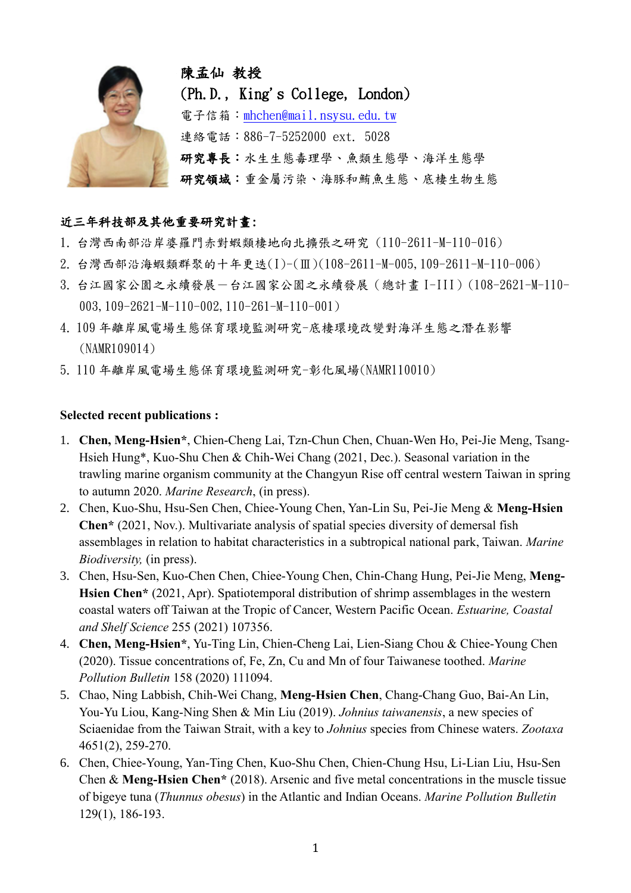

## 近三年科技部及其他重要研究計畫:

- 1. 台灣西南部沿岸婆羅門赤對蝦類棲地向北擴張之研究 (110-2611-M-110-016)
- 2. 台灣西部沿海蝦類群聚的十年更迭(I)-(Ⅲ)(108-2611-M-005,109-2611-M-110-006)
- 3. 台江國家公園之永續發展-台江國家公園之永續發展(總計畫 I-III)(108-2621-M-110- 003,109-2621-M-110-002,110-261-M-110-001)
- 4. 109 年離岸風電場生態保育環境監測研究-底棲環境改變對海洋生態之潛在影響 (NAMR109014)
- 5. 110 年離岸風電場生態保育環境監測研究-彰化風場(NAMR110010)

## **Selected recent publications :**

- 1. **Chen, Meng-Hsien\***, Chien-Cheng Lai, Tzn-Chun Chen, Chuan-Wen Ho, Pei-Jie Meng, Tsang-Hsieh Hung\*, Kuo-Shu Chen & Chih-Wei Chang (2021, Dec.). Seasonal variation in the trawling marine organism community at the Changyun Rise off central western Taiwan in spring to autumn 2020. *Marine Research*, (in press).
- 2. Chen, Kuo-Shu, Hsu-Sen Chen, Chiee-Young Chen, Yan-Lin Su, Pei-Jie Meng & **Meng-Hsien Chen\*** (2021, Nov.). Multivariate analysis of spatial species diversity of demersal fish assemblages in relation to habitat characteristics in a subtropical national park, Taiwan. *Marine Biodiversity,* (in press).
- 3. Chen, Hsu-Sen, Kuo-Chen Chen, Chiee-Young Chen, Chin-Chang Hung, Pei-Jie Meng, **Meng-Hsien Chen\*** (2021, Apr). Spatiotemporal distribution of shrimp assemblages in the western coastal waters off Taiwan at the Tropic of Cancer, Western Pacific Ocean. *Estuarine, Coastal and Shelf Science* 255 (2021) 107356.
- 4. **Chen, Meng-Hsien\***, Yu-Ting Lin, Chien-Cheng Lai, Lien-Siang Chou & Chiee-Young Chen (2020). Tissue concentrations of, Fe, Zn, Cu and Mn of four Taiwanese toothed. *Marine Pollution Bulletin* 158 (2020) 111094.
- 5. Chao, Ning Labbish, Chih-Wei Chang, **Meng-Hsien Chen**, Chang-Chang Guo, Bai-An Lin, You-Yu Liou, Kang-Ning Shen & Min Liu (2019). *Johnius taiwanensis*, a new species of Sciaenidae from the Taiwan Strait, with a key to *Johnius* species from Chinese waters. *Zootaxa* 4651(2), 259-270.
- 6. Chen, Chiee-Young, Yan-Ting Chen, Kuo-Shu Chen, Chien-Chung Hsu, Li-Lian Liu, Hsu-Sen Chen & **Meng-Hsien Chen\*** (2018). Arsenic and five metal concentrations in the muscle tissue of bigeye tuna (*Thunnus obesus*) in the Atlantic and Indian Oceans. *Marine Pollution Bulletin* 129(1), 186-193.